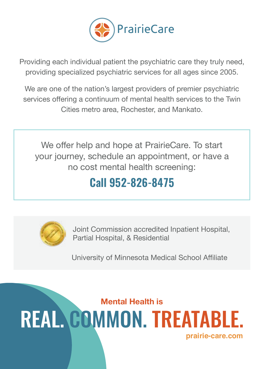

Providing each individual patient the psychiatric care they truly need, providing specialized psychiatric services for all ages since 2005.

We are one of the nation's largest providers of premier psychiatric services offering a continuum of mental health services to the Twin Cities metro area, Rochester, and Mankato.

We offer help and hope at PrairieCare. To start your journey, schedule an appointment, or have a no cost mental health screening:

## **Call 952-826-8475**



Joint Commission accredited Inpatient Hospital, Partial Hospital, & Residential

University of Minnesota Medical School Affiliate